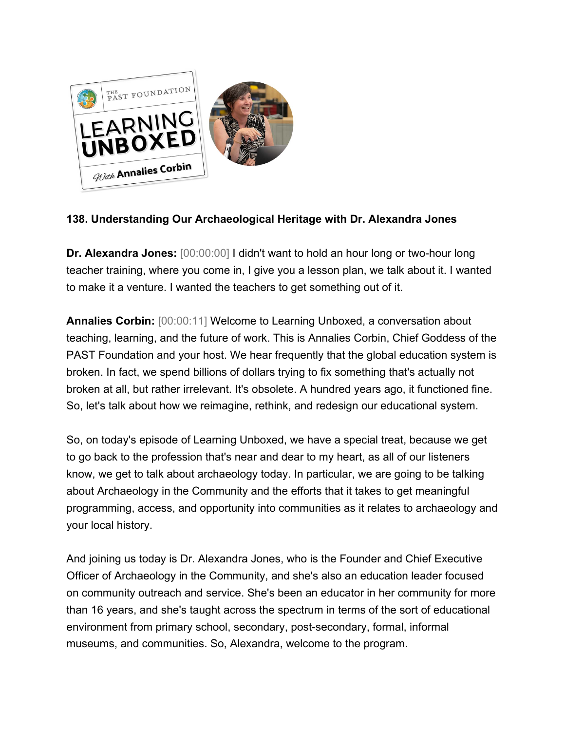

## **138. Understanding Our Archaeological Heritage with Dr. Alexandra Jones**

**Dr. Alexandra Jones:** [00:00:00] I didn't want to hold an hour long or two-hour long teacher training, where you come in, I give you a lesson plan, we talk about it. I wanted to make it a venture. I wanted the teachers to get something out of it.

**Annalies Corbin:** [00:00:11] Welcome to Learning Unboxed, a conversation about teaching, learning, and the future of work. This is Annalies Corbin, Chief Goddess of the PAST Foundation and your host. We hear frequently that the global education system is broken. In fact, we spend billions of dollars trying to fix something that's actually not broken at all, but rather irrelevant. It's obsolete. A hundred years ago, it functioned fine. So, let's talk about how we reimagine, rethink, and redesign our educational system.

So, on today's episode of Learning Unboxed, we have a special treat, because we get to go back to the profession that's near and dear to my heart, as all of our listeners know, we get to talk about archaeology today. In particular, we are going to be talking about Archaeology in the Community and the efforts that it takes to get meaningful programming, access, and opportunity into communities as it relates to archaeology and your local history.

And joining us today is Dr. Alexandra Jones, who is the Founder and Chief Executive Officer of Archaeology in the Community, and she's also an education leader focused on community outreach and service. She's been an educator in her community for more than 16 years, and she's taught across the spectrum in terms of the sort of educational environment from primary school, secondary, post-secondary, formal, informal museums, and communities. So, Alexandra, welcome to the program.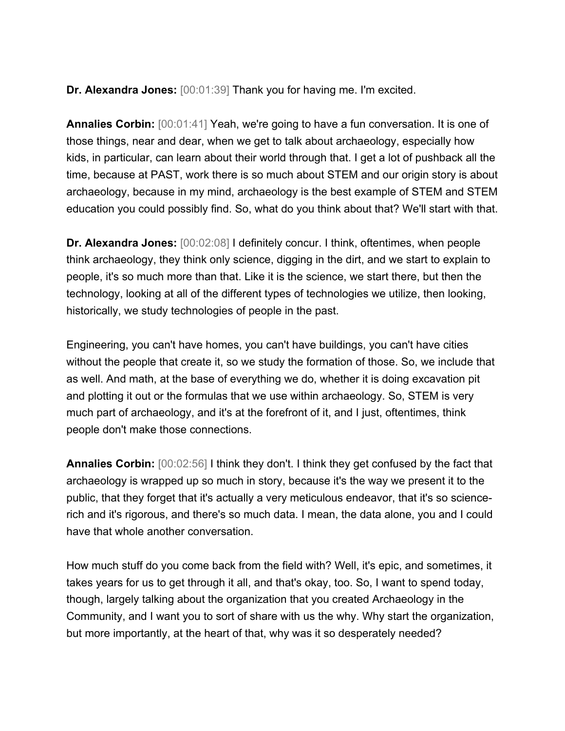**Dr. Alexandra Jones:** [00:01:39] Thank you for having me. I'm excited.

**Annalies Corbin:** [00:01:41] Yeah, we're going to have a fun conversation. It is one of those things, near and dear, when we get to talk about archaeology, especially how kids, in particular, can learn about their world through that. I get a lot of pushback all the time, because at PAST, work there is so much about STEM and our origin story is about archaeology, because in my mind, archaeology is the best example of STEM and STEM education you could possibly find. So, what do you think about that? We'll start with that.

**Dr. Alexandra Jones:**  $[00:02:08]$  I definitely concur. I think, oftentimes, when people think archaeology, they think only science, digging in the dirt, and we start to explain to people, it's so much more than that. Like it is the science, we start there, but then the technology, looking at all of the different types of technologies we utilize, then looking, historically, we study technologies of people in the past.

Engineering, you can't have homes, you can't have buildings, you can't have cities without the people that create it, so we study the formation of those. So, we include that as well. And math, at the base of everything we do, whether it is doing excavation pit and plotting it out or the formulas that we use within archaeology. So, STEM is very much part of archaeology, and it's at the forefront of it, and I just, oftentimes, think people don't make those connections.

**Annalies Corbin:** [00:02:56] I think they don't. I think they get confused by the fact that archaeology is wrapped up so much in story, because it's the way we present it to the public, that they forget that it's actually a very meticulous endeavor, that it's so sciencerich and it's rigorous, and there's so much data. I mean, the data alone, you and I could have that whole another conversation.

How much stuff do you come back from the field with? Well, it's epic, and sometimes, it takes years for us to get through it all, and that's okay, too. So, I want to spend today, though, largely talking about the organization that you created Archaeology in the Community, and I want you to sort of share with us the why. Why start the organization, but more importantly, at the heart of that, why was it so desperately needed?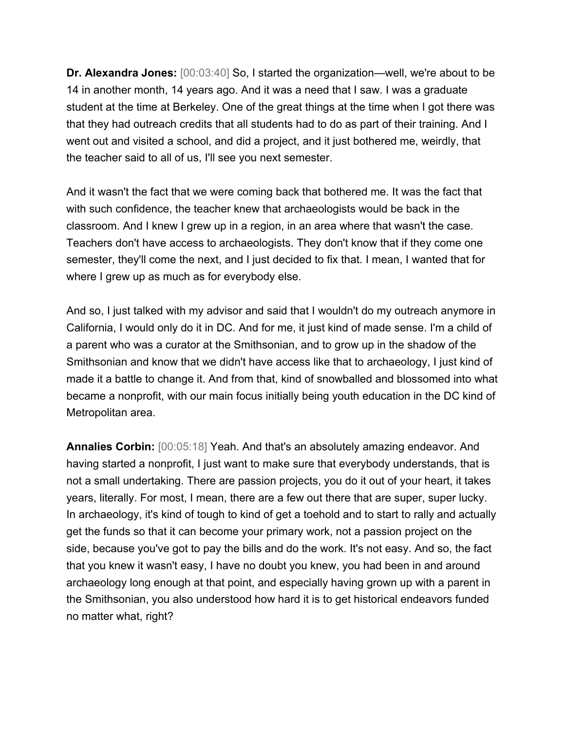**Dr. Alexandra Jones:** [00:03:40] So, I started the organization—well, we're about to be 14 in another month, 14 years ago. And it was a need that I saw. I was a graduate student at the time at Berkeley. One of the great things at the time when I got there was that they had outreach credits that all students had to do as part of their training. And I went out and visited a school, and did a project, and it just bothered me, weirdly, that the teacher said to all of us, I'll see you next semester.

And it wasn't the fact that we were coming back that bothered me. It was the fact that with such confidence, the teacher knew that archaeologists would be back in the classroom. And I knew I grew up in a region, in an area where that wasn't the case. Teachers don't have access to archaeologists. They don't know that if they come one semester, they'll come the next, and I just decided to fix that. I mean, I wanted that for where I grew up as much as for everybody else.

And so, I just talked with my advisor and said that I wouldn't do my outreach anymore in California, I would only do it in DC. And for me, it just kind of made sense. I'm a child of a parent who was a curator at the Smithsonian, and to grow up in the shadow of the Smithsonian and know that we didn't have access like that to archaeology, I just kind of made it a battle to change it. And from that, kind of snowballed and blossomed into what became a nonprofit, with our main focus initially being youth education in the DC kind of Metropolitan area.

**Annalies Corbin:** [00:05:18] Yeah. And that's an absolutely amazing endeavor. And having started a nonprofit, I just want to make sure that everybody understands, that is not a small undertaking. There are passion projects, you do it out of your heart, it takes years, literally. For most, I mean, there are a few out there that are super, super lucky. In archaeology, it's kind of tough to kind of get a toehold and to start to rally and actually get the funds so that it can become your primary work, not a passion project on the side, because you've got to pay the bills and do the work. It's not easy. And so, the fact that you knew it wasn't easy, I have no doubt you knew, you had been in and around archaeology long enough at that point, and especially having grown up with a parent in the Smithsonian, you also understood how hard it is to get historical endeavors funded no matter what, right?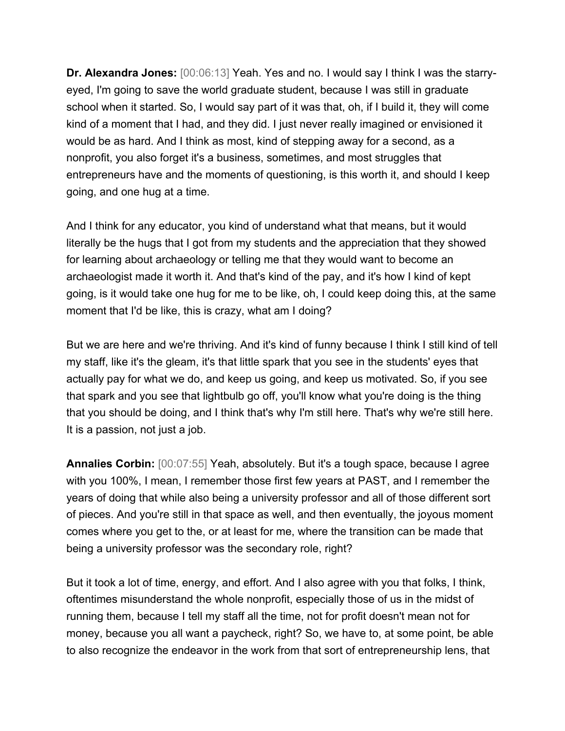**Dr. Alexandra Jones:** [00:06:13] Yeah. Yes and no. I would say I think I was the starryeyed, I'm going to save the world graduate student, because I was still in graduate school when it started. So, I would say part of it was that, oh, if I build it, they will come kind of a moment that I had, and they did. I just never really imagined or envisioned it would be as hard. And I think as most, kind of stepping away for a second, as a nonprofit, you also forget it's a business, sometimes, and most struggles that entrepreneurs have and the moments of questioning, is this worth it, and should I keep going, and one hug at a time.

And I think for any educator, you kind of understand what that means, but it would literally be the hugs that I got from my students and the appreciation that they showed for learning about archaeology or telling me that they would want to become an archaeologist made it worth it. And that's kind of the pay, and it's how I kind of kept going, is it would take one hug for me to be like, oh, I could keep doing this, at the same moment that I'd be like, this is crazy, what am I doing?

But we are here and we're thriving. And it's kind of funny because I think I still kind of tell my staff, like it's the gleam, it's that little spark that you see in the students' eyes that actually pay for what we do, and keep us going, and keep us motivated. So, if you see that spark and you see that lightbulb go off, you'll know what you're doing is the thing that you should be doing, and I think that's why I'm still here. That's why we're still here. It is a passion, not just a job.

**Annalies Corbin:** [00:07:55] Yeah, absolutely. But it's a tough space, because I agree with you 100%, I mean, I remember those first few years at PAST, and I remember the years of doing that while also being a university professor and all of those different sort of pieces. And you're still in that space as well, and then eventually, the joyous moment comes where you get to the, or at least for me, where the transition can be made that being a university professor was the secondary role, right?

But it took a lot of time, energy, and effort. And I also agree with you that folks, I think, oftentimes misunderstand the whole nonprofit, especially those of us in the midst of running them, because I tell my staff all the time, not for profit doesn't mean not for money, because you all want a paycheck, right? So, we have to, at some point, be able to also recognize the endeavor in the work from that sort of entrepreneurship lens, that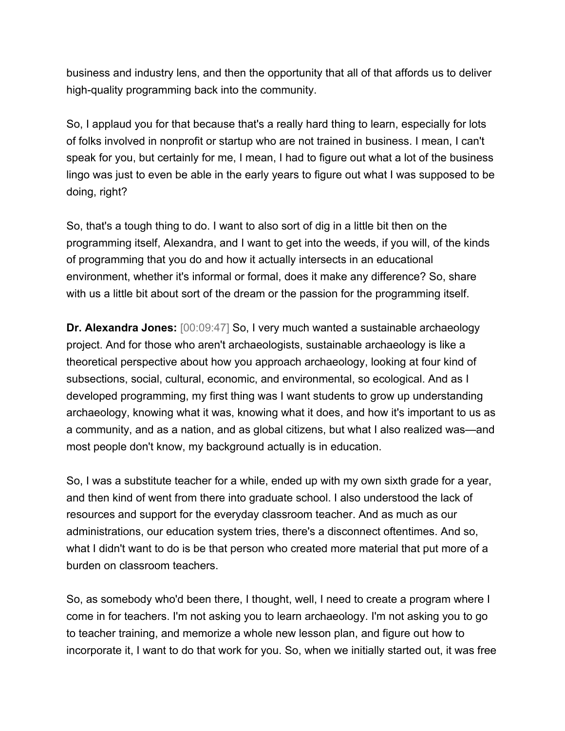business and industry lens, and then the opportunity that all of that affords us to deliver high-quality programming back into the community.

So, I applaud you for that because that's a really hard thing to learn, especially for lots of folks involved in nonprofit or startup who are not trained in business. I mean, I can't speak for you, but certainly for me, I mean, I had to figure out what a lot of the business lingo was just to even be able in the early years to figure out what I was supposed to be doing, right?

So, that's a tough thing to do. I want to also sort of dig in a little bit then on the programming itself, Alexandra, and I want to get into the weeds, if you will, of the kinds of programming that you do and how it actually intersects in an educational environment, whether it's informal or formal, does it make any difference? So, share with us a little bit about sort of the dream or the passion for the programming itself.

**Dr. Alexandra Jones:** [00:09:47] So, I very much wanted a sustainable archaeology project. And for those who aren't archaeologists, sustainable archaeology is like a theoretical perspective about how you approach archaeology, looking at four kind of subsections, social, cultural, economic, and environmental, so ecological. And as I developed programming, my first thing was I want students to grow up understanding archaeology, knowing what it was, knowing what it does, and how it's important to us as a community, and as a nation, and as global citizens, but what I also realized was—and most people don't know, my background actually is in education.

So, I was a substitute teacher for a while, ended up with my own sixth grade for a year, and then kind of went from there into graduate school. I also understood the lack of resources and support for the everyday classroom teacher. And as much as our administrations, our education system tries, there's a disconnect oftentimes. And so, what I didn't want to do is be that person who created more material that put more of a burden on classroom teachers.

So, as somebody who'd been there, I thought, well, I need to create a program where I come in for teachers. I'm not asking you to learn archaeology. I'm not asking you to go to teacher training, and memorize a whole new lesson plan, and figure out how to incorporate it, I want to do that work for you. So, when we initially started out, it was free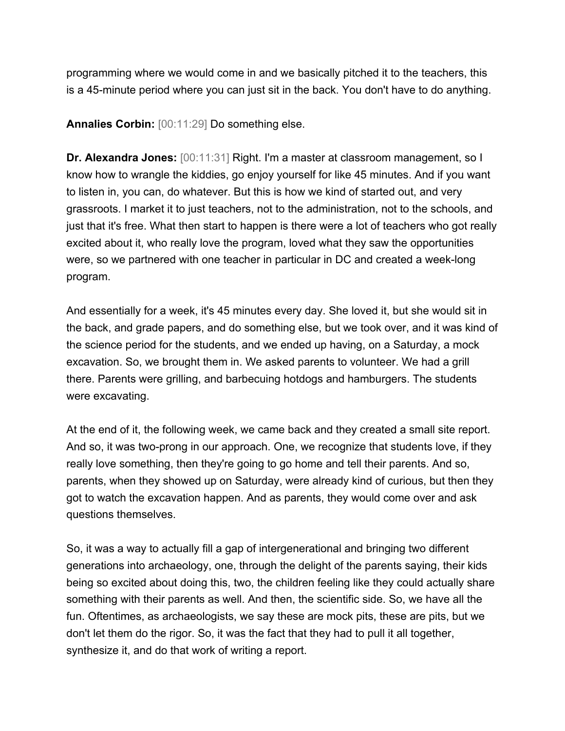programming where we would come in and we basically pitched it to the teachers, this is a 45-minute period where you can just sit in the back. You don't have to do anything.

**Annalies Corbin:** [00:11:29] Do something else.

**Dr. Alexandra Jones:** [00:11:31] Right. I'm a master at classroom management, so I know how to wrangle the kiddies, go enjoy yourself for like 45 minutes. And if you want to listen in, you can, do whatever. But this is how we kind of started out, and very grassroots. I market it to just teachers, not to the administration, not to the schools, and just that it's free. What then start to happen is there were a lot of teachers who got really excited about it, who really love the program, loved what they saw the opportunities were, so we partnered with one teacher in particular in DC and created a week-long program.

And essentially for a week, it's 45 minutes every day. She loved it, but she would sit in the back, and grade papers, and do something else, but we took over, and it was kind of the science period for the students, and we ended up having, on a Saturday, a mock excavation. So, we brought them in. We asked parents to volunteer. We had a grill there. Parents were grilling, and barbecuing hotdogs and hamburgers. The students were excavating.

At the end of it, the following week, we came back and they created a small site report. And so, it was two-prong in our approach. One, we recognize that students love, if they really love something, then they're going to go home and tell their parents. And so, parents, when they showed up on Saturday, were already kind of curious, but then they got to watch the excavation happen. And as parents, they would come over and ask questions themselves.

So, it was a way to actually fill a gap of intergenerational and bringing two different generations into archaeology, one, through the delight of the parents saying, their kids being so excited about doing this, two, the children feeling like they could actually share something with their parents as well. And then, the scientific side. So, we have all the fun. Oftentimes, as archaeologists, we say these are mock pits, these are pits, but we don't let them do the rigor. So, it was the fact that they had to pull it all together, synthesize it, and do that work of writing a report.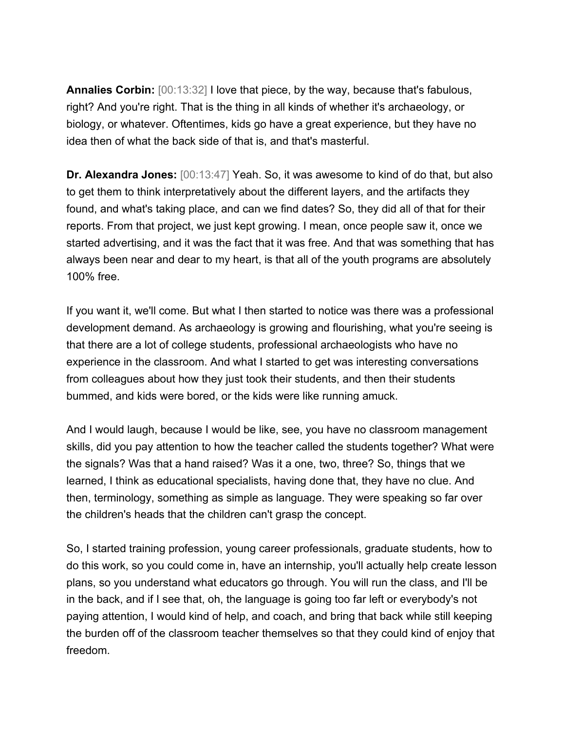**Annalies Corbin:** [00:13:32] I love that piece, by the way, because that's fabulous, right? And you're right. That is the thing in all kinds of whether it's archaeology, or biology, or whatever. Oftentimes, kids go have a great experience, but they have no idea then of what the back side of that is, and that's masterful.

**Dr. Alexandra Jones:** [00:13:47] Yeah. So, it was awesome to kind of do that, but also to get them to think interpretatively about the different layers, and the artifacts they found, and what's taking place, and can we find dates? So, they did all of that for their reports. From that project, we just kept growing. I mean, once people saw it, once we started advertising, and it was the fact that it was free. And that was something that has always been near and dear to my heart, is that all of the youth programs are absolutely 100% free.

If you want it, we'll come. But what I then started to notice was there was a professional development demand. As archaeology is growing and flourishing, what you're seeing is that there are a lot of college students, professional archaeologists who have no experience in the classroom. And what I started to get was interesting conversations from colleagues about how they just took their students, and then their students bummed, and kids were bored, or the kids were like running amuck.

And I would laugh, because I would be like, see, you have no classroom management skills, did you pay attention to how the teacher called the students together? What were the signals? Was that a hand raised? Was it a one, two, three? So, things that we learned, I think as educational specialists, having done that, they have no clue. And then, terminology, something as simple as language. They were speaking so far over the children's heads that the children can't grasp the concept.

So, I started training profession, young career professionals, graduate students, how to do this work, so you could come in, have an internship, you'll actually help create lesson plans, so you understand what educators go through. You will run the class, and I'll be in the back, and if I see that, oh, the language is going too far left or everybody's not paying attention, I would kind of help, and coach, and bring that back while still keeping the burden off of the classroom teacher themselves so that they could kind of enjoy that freedom.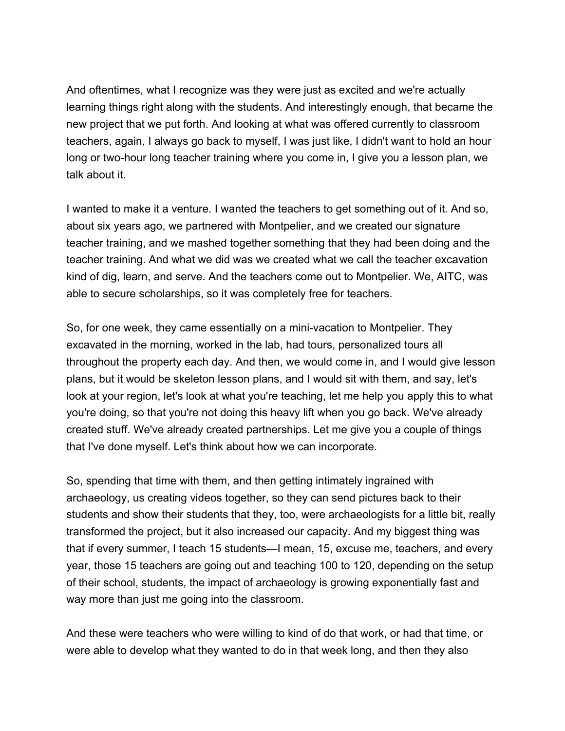And oftentimes, what I recognize was they were just as excited and we're actually learning things right along with the students. And interestingly enough, that became the new project that we put forth. And looking at what was offered currently to classroom teachers, again, I always go back to myself, I was just like, I didn't want to hold an hour long or two-hour long teacher training where you come in, I give you a lesson plan, we talk about it.

I wanted to make it a venture. I wanted the teachers to get something out of it. And so, about six years ago, we partnered with Montpelier, and we created our signature teacher training, and we mashed together something that they had been doing and the teacher training. And what we did was we created what we call the teacher excavation kind of dig, learn, and serve. And the teachers come out to Montpelier. We, AITC, was able to secure scholarships, so it was completely free for teachers.

So, for one week, they came essentially on a mini-vacation to Montpelier. They excavated in the morning, worked in the lab, had tours, personalized tours all throughout the property each day. And then, we would come in, and I would give lesson plans, but it would be skeleton lesson plans, and I would sit with them, and say, let's look at your region, let's look at what you're teaching, let me help you apply this to what you're doing, so that you're not doing this heavy lift when you go back. We've already created stuff. We've already created partnerships. Let me give you a couple of things that I've done myself. Let's think about how we can incorporate.

So, spending that time with them, and then getting intimately ingrained with archaeology, us creating videos together, so they can send pictures back to their students and show their students that they, too, were archaeologists for a little bit, really transformed the project, but it also increased our capacity. And my biggest thing was that if every summer, I teach 15 students—I mean, 15, excuse me, teachers, and every year, those 15 teachers are going out and teaching 100 to 120, depending on the setup of their school, students, the impact of archaeology is growing exponentially fast and way more than just me going into the classroom.

And these were teachers who were willing to kind of do that work, or had that time, or were able to develop what they wanted to do in that week long, and then they also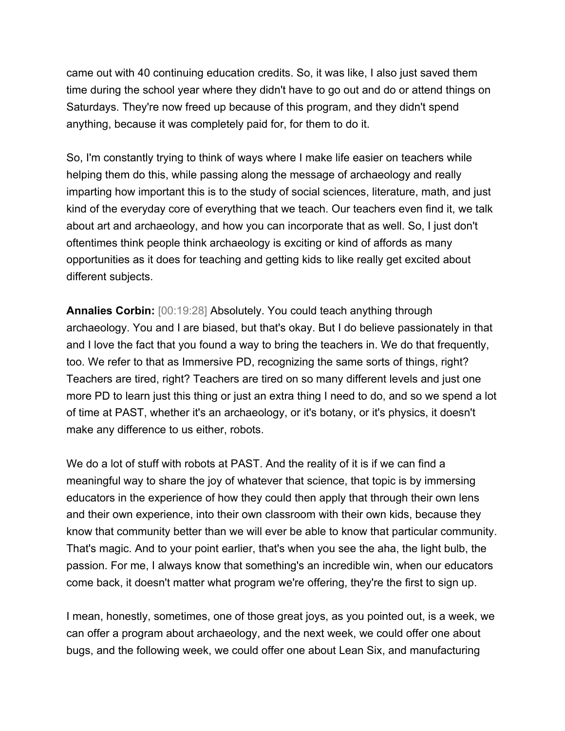came out with 40 continuing education credits. So, it was like, I also just saved them time during the school year where they didn't have to go out and do or attend things on Saturdays. They're now freed up because of this program, and they didn't spend anything, because it was completely paid for, for them to do it.

So, I'm constantly trying to think of ways where I make life easier on teachers while helping them do this, while passing along the message of archaeology and really imparting how important this is to the study of social sciences, literature, math, and just kind of the everyday core of everything that we teach. Our teachers even find it, we talk about art and archaeology, and how you can incorporate that as well. So, I just don't oftentimes think people think archaeology is exciting or kind of affords as many opportunities as it does for teaching and getting kids to like really get excited about different subjects.

**Annalies Corbin:** [00:19:28] Absolutely. You could teach anything through archaeology. You and I are biased, but that's okay. But I do believe passionately in that and I love the fact that you found a way to bring the teachers in. We do that frequently, too. We refer to that as Immersive PD, recognizing the same sorts of things, right? Teachers are tired, right? Teachers are tired on so many different levels and just one more PD to learn just this thing or just an extra thing I need to do, and so we spend a lot of time at PAST, whether it's an archaeology, or it's botany, or it's physics, it doesn't make any difference to us either, robots.

We do a lot of stuff with robots at PAST. And the reality of it is if we can find a meaningful way to share the joy of whatever that science, that topic is by immersing educators in the experience of how they could then apply that through their own lens and their own experience, into their own classroom with their own kids, because they know that community better than we will ever be able to know that particular community. That's magic. And to your point earlier, that's when you see the aha, the light bulb, the passion. For me, I always know that something's an incredible win, when our educators come back, it doesn't matter what program we're offering, they're the first to sign up.

I mean, honestly, sometimes, one of those great joys, as you pointed out, is a week, we can offer a program about archaeology, and the next week, we could offer one about bugs, and the following week, we could offer one about Lean Six, and manufacturing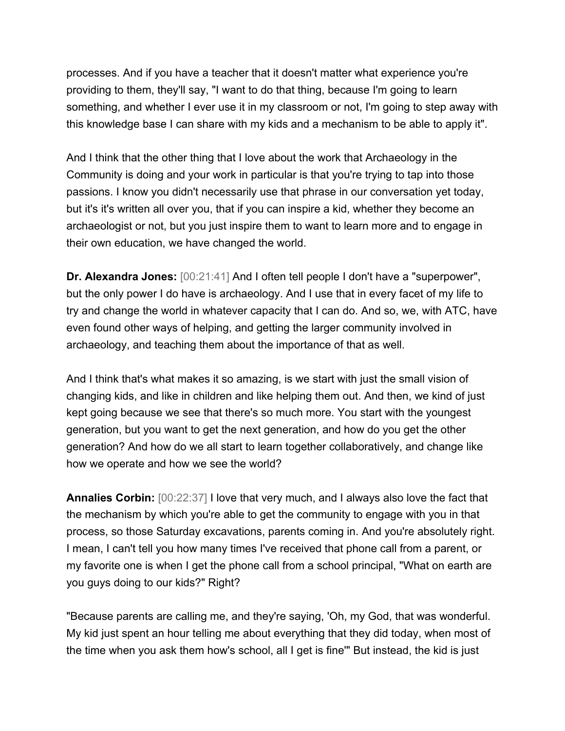processes. And if you have a teacher that it doesn't matter what experience you're providing to them, they'll say, "I want to do that thing, because I'm going to learn something, and whether I ever use it in my classroom or not, I'm going to step away with this knowledge base I can share with my kids and a mechanism to be able to apply it".

And I think that the other thing that I love about the work that Archaeology in the Community is doing and your work in particular is that you're trying to tap into those passions. I know you didn't necessarily use that phrase in our conversation yet today, but it's it's written all over you, that if you can inspire a kid, whether they become an archaeologist or not, but you just inspire them to want to learn more and to engage in their own education, we have changed the world.

**Dr. Alexandra Jones:** [00:21:41] And I often tell people I don't have a "superpower", but the only power I do have is archaeology. And I use that in every facet of my life to try and change the world in whatever capacity that I can do. And so, we, with ATC, have even found other ways of helping, and getting the larger community involved in archaeology, and teaching them about the importance of that as well.

And I think that's what makes it so amazing, is we start with just the small vision of changing kids, and like in children and like helping them out. And then, we kind of just kept going because we see that there's so much more. You start with the youngest generation, but you want to get the next generation, and how do you get the other generation? And how do we all start to learn together collaboratively, and change like how we operate and how we see the world?

**Annalies Corbin:** [00:22:37] I love that very much, and I always also love the fact that the mechanism by which you're able to get the community to engage with you in that process, so those Saturday excavations, parents coming in. And you're absolutely right. I mean, I can't tell you how many times I've received that phone call from a parent, or my favorite one is when I get the phone call from a school principal, "What on earth are you guys doing to our kids?" Right?

"Because parents are calling me, and they're saying, 'Oh, my God, that was wonderful. My kid just spent an hour telling me about everything that they did today, when most of the time when you ask them how's school, all I get is fine'" But instead, the kid is just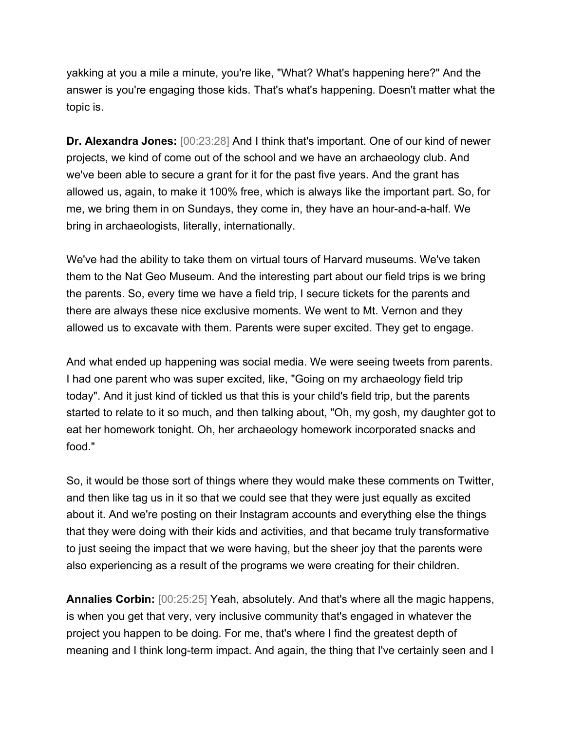yakking at you a mile a minute, you're like, "What? What's happening here?" And the answer is you're engaging those kids. That's what's happening. Doesn't matter what the topic is.

**Dr. Alexandra Jones:** [00:23:28] And I think that's important. One of our kind of newer projects, we kind of come out of the school and we have an archaeology club. And we've been able to secure a grant for it for the past five years. And the grant has allowed us, again, to make it 100% free, which is always like the important part. So, for me, we bring them in on Sundays, they come in, they have an hour-and-a-half. We bring in archaeologists, literally, internationally.

We've had the ability to take them on virtual tours of Harvard museums. We've taken them to the Nat Geo Museum. And the interesting part about our field trips is we bring the parents. So, every time we have a field trip, I secure tickets for the parents and there are always these nice exclusive moments. We went to Mt. Vernon and they allowed us to excavate with them. Parents were super excited. They get to engage.

And what ended up happening was social media. We were seeing tweets from parents. I had one parent who was super excited, like, "Going on my archaeology field trip today". And it just kind of tickled us that this is your child's field trip, but the parents started to relate to it so much, and then talking about, "Oh, my gosh, my daughter got to eat her homework tonight. Oh, her archaeology homework incorporated snacks and food."

So, it would be those sort of things where they would make these comments on Twitter, and then like tag us in it so that we could see that they were just equally as excited about it. And we're posting on their Instagram accounts and everything else the things that they were doing with their kids and activities, and that became truly transformative to just seeing the impact that we were having, but the sheer joy that the parents were also experiencing as a result of the programs we were creating for their children.

**Annalies Corbin:** [00:25:25] Yeah, absolutely. And that's where all the magic happens, is when you get that very, very inclusive community that's engaged in whatever the project you happen to be doing. For me, that's where I find the greatest depth of meaning and I think long-term impact. And again, the thing that I've certainly seen and I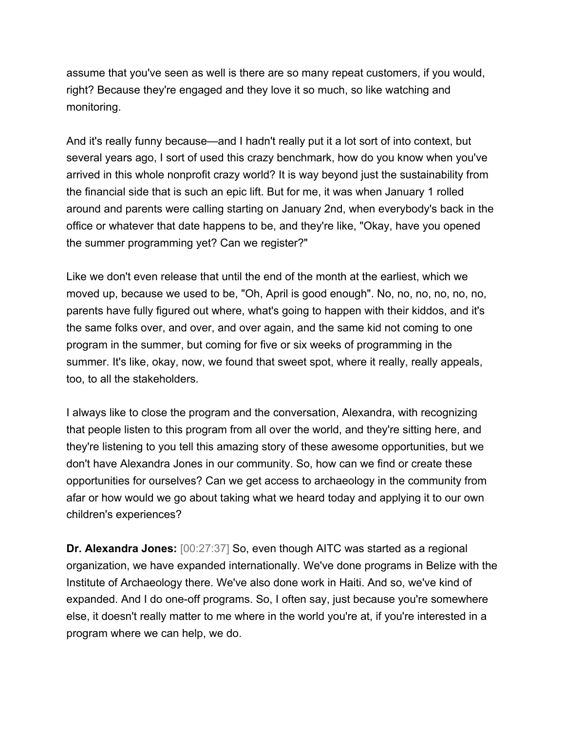assume that you've seen as well is there are so many repeat customers, if you would, right? Because they're engaged and they love it so much, so like watching and monitoring.

And it's really funny because—and I hadn't really put it a lot sort of into context, but several years ago, I sort of used this crazy benchmark, how do you know when you've arrived in this whole nonprofit crazy world? It is way beyond just the sustainability from the financial side that is such an epic lift. But for me, it was when January 1 rolled around and parents were calling starting on January 2nd, when everybody's back in the office or whatever that date happens to be, and they're like, "Okay, have you opened the summer programming yet? Can we register?"

Like we don't even release that until the end of the month at the earliest, which we moved up, because we used to be, "Oh, April is good enough". No, no, no, no, no, no, parents have fully figured out where, what's going to happen with their kiddos, and it's the same folks over, and over, and over again, and the same kid not coming to one program in the summer, but coming for five or six weeks of programming in the summer. It's like, okay, now, we found that sweet spot, where it really, really appeals, too, to all the stakeholders.

I always like to close the program and the conversation, Alexandra, with recognizing that people listen to this program from all over the world, and they're sitting here, and they're listening to you tell this amazing story of these awesome opportunities, but we don't have Alexandra Jones in our community. So, how can we find or create these opportunities for ourselves? Can we get access to archaeology in the community from afar or how would we go about taking what we heard today and applying it to our own children's experiences?

**Dr. Alexandra Jones:** [00:27:37] So, even though AITC was started as a regional organization, we have expanded internationally. We've done programs in Belize with the Institute of Archaeology there. We've also done work in Haiti. And so, we've kind of expanded. And I do one-off programs. So, I often say, just because you're somewhere else, it doesn't really matter to me where in the world you're at, if you're interested in a program where we can help, we do.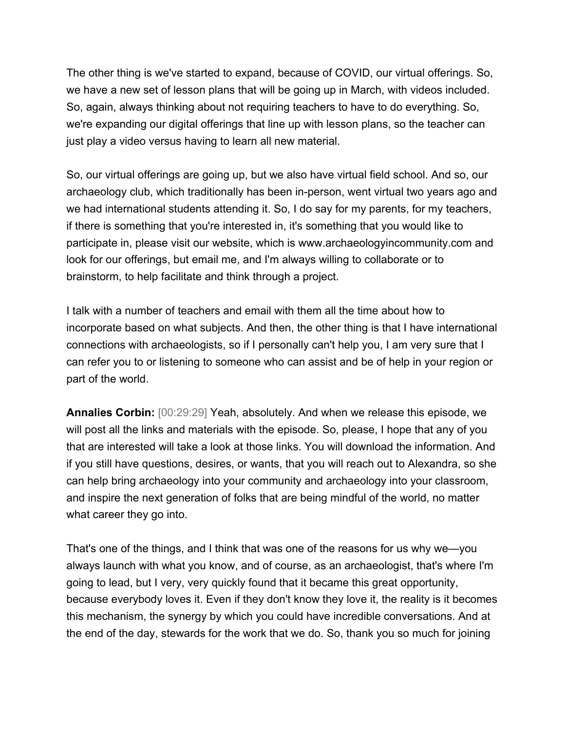The other thing is we've started to expand, because of COVID, our virtual offerings. So, we have a new set of lesson plans that will be going up in March, with videos included. So, again, always thinking about not requiring teachers to have to do everything. So, we're expanding our digital offerings that line up with lesson plans, so the teacher can just play a video versus having to learn all new material.

So, our virtual offerings are going up, but we also have virtual field school. And so, our archaeology club, which traditionally has been in-person, went virtual two years ago and we had international students attending it. So, I do say for my parents, for my teachers, if there is something that you're interested in, it's something that you would like to participate in, please visit our website, which is www.archaeologyincommunity.com and look for our offerings, but email me, and I'm always willing to collaborate or to brainstorm, to help facilitate and think through a project.

I talk with a number of teachers and email with them all the time about how to incorporate based on what subjects. And then, the other thing is that I have international connections with archaeologists, so if I personally can't help you, I am very sure that I can refer you to or listening to someone who can assist and be of help in your region or part of the world.

**Annalies Corbin:** [00:29:29] Yeah, absolutely. And when we release this episode, we will post all the links and materials with the episode. So, please, I hope that any of you that are interested will take a look at those links. You will download the information. And if you still have questions, desires, or wants, that you will reach out to Alexandra, so she can help bring archaeology into your community and archaeology into your classroom, and inspire the next generation of folks that are being mindful of the world, no matter what career they go into.

That's one of the things, and I think that was one of the reasons for us why we—you always launch with what you know, and of course, as an archaeologist, that's where I'm going to lead, but I very, very quickly found that it became this great opportunity, because everybody loves it. Even if they don't know they love it, the reality is it becomes this mechanism, the synergy by which you could have incredible conversations. And at the end of the day, stewards for the work that we do. So, thank you so much for joining